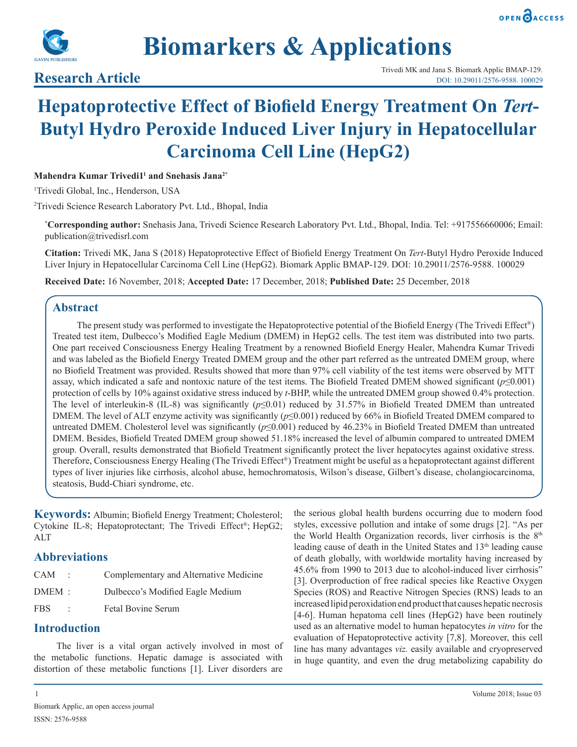



# **Biomarkers & Applications**

# **Hepatoprotective Effect of Biofield Energy Treatment On** *Tert***-Butyl Hydro Peroxide Induced Liver Injury in Hepatocellular Carcinoma Cell Line (HepG2)**

**Mahendra Kumar Trivedi11 and Snehasis Jana2\***

1 Trivedi Global, Inc., Henderson, USA

2 Trivedi Science Research Laboratory Pvt. Ltd., Bhopal, India

**\* Corresponding author:** Snehasis Jana, Trivedi Science Research Laboratory Pvt. Ltd., Bhopal, India. Tel: +917556660006; Email: publication@trivedisrl.com

**Citation:** Trivedi MK, Jana S (2018) Hepatoprotective Effect of Biofield Energy Treatment On *Tert*-Butyl Hydro Peroxide Induced Liver Injury in Hepatocellular Carcinoma Cell Line (HepG2). Biomark Applic BMAP-129. DOI: 10.29011/2576-9588. 100029

**Received Date:** 16 November, 2018; **Accepted Date:** 17 December, 2018; **Published Date:** 25 December, 2018

# **Abstract**

 The present study was performed to investigate the Hepatoprotective potential of the Biofield Energy (The Trivedi Effect®) Treated test item, Dulbecco's Modified Eagle Medium (DMEM) in HepG2 cells. The test item was distributed into two parts. One part received Consciousness Energy Healing Treatment by a renowned Biofield Energy Healer, Mahendra Kumar Trivedi and was labeled as the Biofield Energy Treated DMEM group and the other part referred as the untreated DMEM group, where no Biofield Treatment was provided. Results showed that more than 97% cell viability of the test items were observed by MTT assay, which indicated a safe and nontoxic nature of the test items. The Biofield Treated DMEM showed significant ( $p \le 0.001$ ) protection of cells by 10% against oxidative stress induced by *t*-BHP, while the untreated DMEM group showed 0.4% protection. The level of interleukin-8 (IL-8) was significantly (*p*≤0.01) reduced by 31.57% in Biofield Treated DMEM than untreated DMEM. The level of ALT enzyme activity was significantly (*p*≤0.001) reduced by 66% in Biofield Treated DMEM compared to untreated DMEM. Cholesterol level was significantly (*p*≤0.001) reduced by 46.23% in Biofield Treated DMEM than untreated DMEM. Besides, Biofield Treated DMEM group showed 51.18% increased the level of albumin compared to untreated DMEM group. Overall, results demonstrated that Biofield Treatment significantly protect the liver hepatocytes against oxidative stress. Therefore, Consciousness Energy Healing (The Trivedi Effect®) Treatment might be useful as a hepatoprotectant against different types of liver injuries like cirrhosis, alcohol abuse, hemochromatosis, Wilson's disease, Gilbert's disease, cholangiocarcinoma, steatosis, Budd-Chiari syndrome, etc.

**Keywords:** Albumin; Biofield Energy Treatment; Cholesterol; Cytokine IL-8; Hepatoprotectant; The Trivedi Effect®; HepG2; ALT

### **Abbreviations**

| CAM      |    | Complementary and Alternative Medicine |
|----------|----|----------------------------------------|
| $DMEM$ : |    | Dulbecco's Modified Eagle Medium       |
| FBS      | ٠. | <b>Fetal Bovine Serum</b>              |

# **Introduction**

The liver is a vital organ actively involved in most of the metabolic functions. Hepatic damage is associated with distortion of these metabolic functions [1]. Liver disorders are

the serious global health burdens occurring due to modern food styles, excessive pollution and intake of some drugs [2]. "As per the World Health Organization records, liver cirrhosis is the  $8<sup>th</sup>$ leading cause of death in the United States and 13<sup>th</sup> leading cause of death globally, with worldwide mortality having increased by 45.6% from 1990 to 2013 due to alcohol-induced liver cirrhosis" [3]. Overproduction of free radical species like Reactive Oxygen Species (ROS) and Reactive Nitrogen Species (RNS) leads to an increased lipid peroxidation end product that causes hepatic necrosis [4-6]. Human hepatoma cell lines (HepG2) have been routinely used as an alternative model to human hepatocytes *in vitro* for the evaluation of Hepatoprotective activity [7,8]. Moreover, this cell line has many advantages *viz.* easily available and cryopreserved in huge quantity, and even the drug metabolizing capability do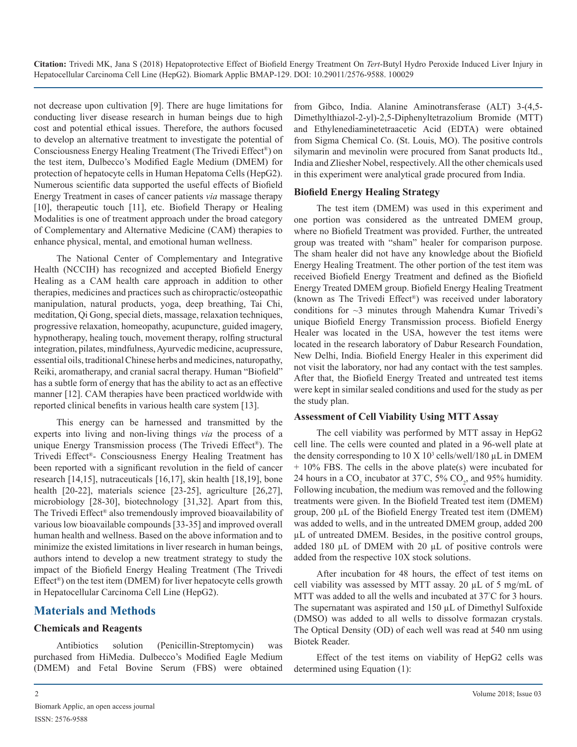not decrease upon cultivation [9]. There are huge limitations for conducting liver disease research in human beings due to high cost and potential ethical issues. Therefore, the authors focused to develop an alternative treatment to investigate the potential of Consciousness Energy Healing Treatment (The Trivedi Effect®) on the test item, Dulbecco's Modified Eagle Medium (DMEM) for protection of hepatocyte cells in Human Hepatoma Cells (HepG2). Numerous scientific data supported the useful effects of Biofield Energy Treatment in cases of cancer patients *via* massage therapy [10], therapeutic touch [11], etc. Biofield Therapy or Healing Modalities is one of treatment approach under the broad category of Complementary and Alternative Medicine (CAM) therapies to enhance physical, mental, and emotional human wellness.

The National Center of Complementary and Integrative Health (NCCIH) has recognized and accepted Biofield Energy Healing as a CAM health care approach in addition to other therapies, medicines and practices such as chiropractic/osteopathic manipulation, natural products, yoga, deep breathing, Tai Chi, meditation, Qi Gong, special diets, massage, relaxation techniques, progressive relaxation, homeopathy, acupuncture, guided imagery, hypnotherapy, healing touch, movement therapy, rolfing structural integration, pilates, mindfulness, Ayurvedic medicine, acupressure, essential oils, traditional Chinese herbs and medicines, naturopathy, Reiki, aromatherapy, and cranial sacral therapy. Human "Biofield" has a subtle form of energy that has the ability to act as an effective manner [12]. CAM therapies have been practiced worldwide with reported clinical benefits in various health care system [13].

This energy can be harnessed and transmitted by the experts into living and non-living things *via* the process of a unique Energy Transmission process (The Trivedi Effect®). The Trivedi Effect®- Consciousness Energy Healing Treatment has been reported with a significant revolution in the field of cancer research [14,15], nutraceuticals [16,17], skin health [18,19], bone health [20-22], materials science [23-25], agriculture [26,27], microbiology [28-30], biotechnology [31,32]. Apart from this, The Trivedi Effect® also tremendously improved bioavailability of various low bioavailable compounds [33-35] and improved overall human health and wellness. Based on the above information and to minimize the existed limitations in liver research in human beings, authors intend to develop a new treatment strategy to study the impact of the Biofield Energy Healing Treatment (The Trivedi Effect®) on the test item (DMEM) for liver hepatocyte cells growth in Hepatocellular Carcinoma Cell Line (HepG2).

# **Materials and Methods**

#### **Chemicals and Reagents**

Antibiotics solution (Penicillin-Streptomycin) was purchased from HiMedia. Dulbecco's Modified Eagle Medium (DMEM) and Fetal Bovine Serum (FBS) were obtained from Gibco, India. Alanine Aminotransferase (ALT) 3-(4,5- Dimethylthiazol-2-yl)-2,5-Diphenyltetrazolium Bromide (MTT) and Ethylenediaminetetraacetic Acid (EDTA) were obtained from Sigma Chemical Co. (St. Louis, MO). The positive controls silymarin and mevinolin were procured from Sanat products ltd., India and Zliesher Nobel, respectively. All the other chemicals used in this experiment were analytical grade procured from India.

#### **Biofield Energy Healing Strategy**

The test item (DMEM) was used in this experiment and one portion was considered as the untreated DMEM group, where no Biofield Treatment was provided. Further, the untreated group was treated with "sham" healer for comparison purpose. The sham healer did not have any knowledge about the Biofield Energy Healing Treatment. The other portion of the test item was received Biofield Energy Treatment and defined as the Biofield Energy Treated DMEM group. Biofield Energy Healing Treatment (known as The Trivedi Effect®) was received under laboratory conditions for ~3 minutes through Mahendra Kumar Trivedi's unique Biofield Energy Transmission process. Biofield Energy Healer was located in the USA, however the test items were located in the research laboratory of Dabur Research Foundation, New Delhi, India. Biofield Energy Healer in this experiment did not visit the laboratory, nor had any contact with the test samples. After that, the Biofield Energy Treated and untreated test items were kept in similar sealed conditions and used for the study as per the study plan.

#### **Assessment of Cell Viability Using MTT Assay**

The cell viability was performed by MTT assay in HepG2 cell line. The cells were counted and plated in a 96-well plate at the density corresponding to  $10 \text{ X } 10^3$  cells/well/180  $\mu$ L in DMEM + 10% FBS. The cells in the above plate(s) were incubated for 24 hours in a  $CO_2$  incubator at 37°C, 5%  $CO_2$ , and 95% humidity. Following incubation, the medium was removed and the following treatments were given. In the Biofield Treated test item (DMEM) group, 200 µL of the Biofield Energy Treated test item (DMEM) was added to wells, and in the untreated DMEM group, added 200 µL of untreated DMEM. Besides, in the positive control groups, added 180  $\mu$ L of DMEM with 20  $\mu$ L of positive controls were added from the respective 10X stock solutions.

After incubation for 48 hours, the effect of test items on cell viability was assessed by MTT assay. 20 µL of 5 mg/mL of MTT was added to all the wells and incubated at 37°C for 3 hours. The supernatant was aspirated and 150 µL of Dimethyl Sulfoxide (DMSO) was added to all wells to dissolve formazan crystals. The Optical Density (OD) of each well was read at 540 nm using Biotek Reader.

Effect of the test items on viability of HepG2 cells was determined using Equation (1):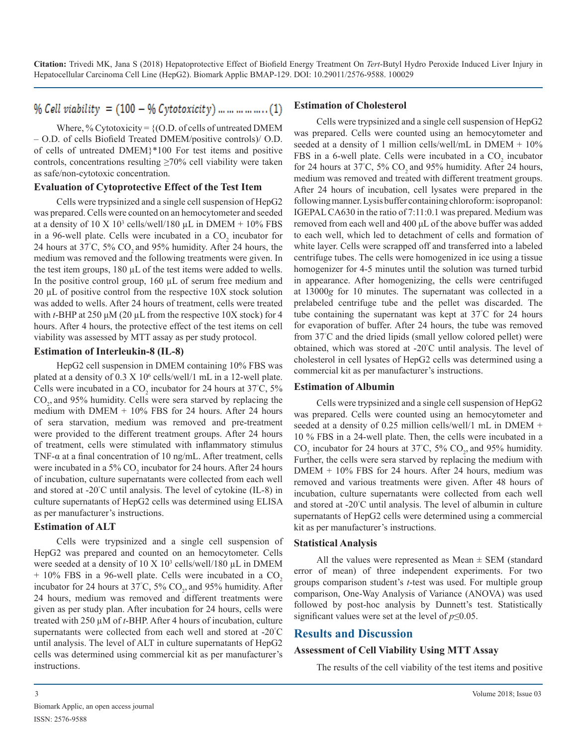# $\%$  Cell viability = (100 - % Cytotoxicity) ... ... ... ... ... (1)

Where, % Cytotoxicity =  $\{ (O.D. of cells of untreated DMEM) \}$ – O.D. of cells Biofield Treated DMEM/positive controls)/ O.D. of cells of untreated DMEM}\*100 For test items and positive controls, concentrations resulting  $\geq 70\%$  cell viability were taken as safe/non-cytotoxic concentration.

#### **Evaluation of Cytoprotective Effect of the Test Item**

Cells were trypsinized and a single cell suspension of HepG2 was prepared. Cells were counted on an hemocytometer and seeded at a density of  $10 \text{ X } 10^3$  cells/well/180 µL in DMEM +  $10\%$  FBS in a 96-well plate. Cells were incubated in a  $CO<sub>2</sub>$  incubator for 24 hours at 37°C, 5%  $CO_2$  and 95% humidity. After 24 hours, the medium was removed and the following treatments were given. In the test item groups, 180 µL of the test items were added to wells. In the positive control group,  $160 \mu L$  of serum free medium and 20 µL of positive control from the respective 10X stock solution was added to wells. After 24 hours of treatment, cells were treated with *t*-BHP at 250 μM (20 µL from the respective 10X stock) for 4 hours. After 4 hours, the protective effect of the test items on cell viability was assessed by MTT assay as per study protocol.

#### **Estimation of Interleukin-8 (IL-8)**

HepG2 cell suspension in DMEM containing 10% FBS was plated at a density of  $0.3 \times 10^6$  cells/well/1 mL in a 12-well plate. Cells were incubated in a CO<sub>2</sub> incubator for 24 hours at  $37^{\circ}$ C,  $5\%$  $CO<sub>2</sub>$ , and 95% humidity. Cells were sera starved by replacing the medium with DMEM + 10% FBS for 24 hours. After 24 hours of sera starvation, medium was removed and pre-treatment were provided to the different treatment groups. After 24 hours of treatment, cells were stimulated with inflammatory stimulus TNF-α at a final concentration of 10 ng/mL. After treatment, cells were incubated in a 5%  $CO_2$  incubator for 24 hours. After 24 hours of incubation, culture supernatants were collected from each well and stored at -20° C until analysis. The level of cytokine (IL-8) in culture supernatants of HepG2 cells was determined using ELISA as per manufacturer's instructions.

#### **Estimation of ALT**

Cells were trypsinized and a single cell suspension of HepG2 was prepared and counted on an hemocytometer. Cells were seeded at a density of  $10 \text{ X } 10^3$  cells/well/180  $\mu$ L in DMEM  $+$  10% FBS in a 96-well plate. Cells were incubated in a CO<sub>2</sub> incubator for 24 hours at 37°C,  $5\%$  CO<sub>2</sub>, and 95% humidity. After 24 hours, medium was removed and different treatments were given as per study plan. After incubation for 24 hours, cells were treated with 250 µM of *t*-BHP. After 4 hours of incubation, culture supernatants were collected from each well and stored at -20° C until analysis. The level of ALT in culture supernatants of HepG2 cells was determined using commercial kit as per manufacturer's instructions.

#### **Estimation of Cholesterol**

Cells were trypsinized and a single cell suspension of HepG2 was prepared. Cells were counted using an hemocytometer and seeded at a density of 1 million cells/well/mL in DMEM + 10% FBS in a 6-well plate. Cells were incubated in a  $CO<sub>2</sub>$  incubator for 24 hours at 37°C, 5%  $CO_2$  and 95% humidity. After 24 hours, medium was removed and treated with different treatment groups. After 24 hours of incubation, cell lysates were prepared in the following manner. Lysis buffer containing chloroform: isopropanol: IGEPAL CA630 in the ratio of 7:11:0.1 was prepared. Medium was removed from each well and 400 μL of the above buffer was added to each well, which led to detachment of cells and formation of white layer. Cells were scrapped off and transferred into a labeled centrifuge tubes. The cells were homogenized in ice using a tissue homogenizer for 4-5 minutes until the solution was turned turbid in appearance. After homogenizing, the cells were centrifuged at 13000*g* for 10 minutes. The supernatant was collected in a prelabeled centrifuge tube and the pellet was discarded. The tube containing the supernatant was kept at 37° C for 24 hours for evaporation of buffer. After 24 hours, the tube was removed from 37° C and the dried lipids (small yellow colored pellet) were obtained, which was stored at -20° C until analysis. The level of cholesterol in cell lysates of HepG2 cells was determined using a commercial kit as per manufacturer's instructions.

#### **Estimation of Albumin**

Cells were trypsinized and a single cell suspension of HepG2 was prepared. Cells were counted using an hemocytometer and seeded at a density of 0.25 million cells/well/1 mL in DMEM + 10 % FBS in a 24-well plate. Then, the cells were incubated in a  $\text{CO}_2$  incubator for 24 hours at 37°C, 5%  $\text{CO}_2$ , and 95% humidity. Further, the cells were sera starved by replacing the medium with DMEM + 10% FBS for 24 hours. After 24 hours, medium was removed and various treatments were given. After 48 hours of incubation, culture supernatants were collected from each well and stored at -20° C until analysis. The level of albumin in culture supernatants of HepG2 cells were determined using a commercial kit as per manufacturer's instructions.

#### **Statistical Analysis**

All the values were represented as Mean  $\pm$  SEM (standard error of mean) of three independent experiments. For two groups comparison student's *t*-test was used. For multiple group comparison, One-Way Analysis of Variance (ANOVA) was used followed by post-hoc analysis by Dunnett's test. Statistically significant values were set at the level of  $p \leq 0.05$ .

#### **Results and Discussion**

#### **Assessment of Cell Viability Using MTT Assay**

The results of the cell viability of the test items and positive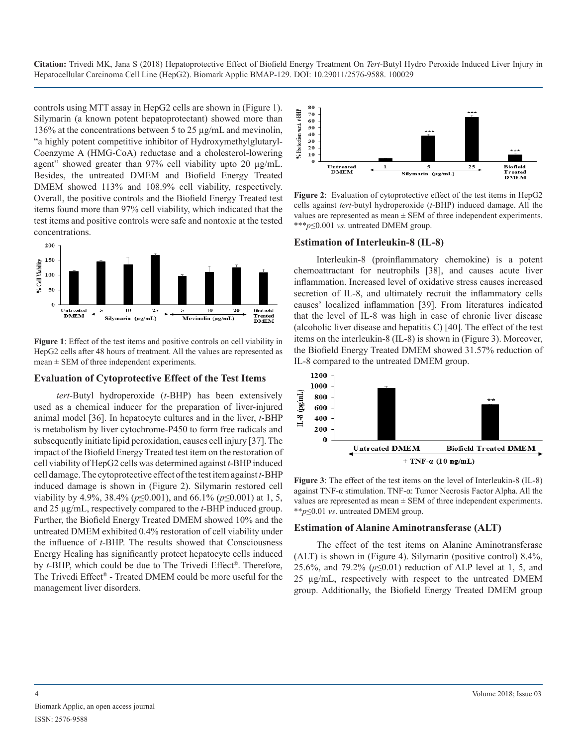controls using MTT assay in HepG2 cells are shown in (Figure 1). Silymarin (a known potent hepatoprotectant) showed more than 136% at the concentrations between 5 to 25 µg/mL and mevinolin, "a highly potent competitive inhibitor of Hydroxymethylglutaryl-Coenzyme A (HMG-CoA) reductase and a cholesterol-lowering agent" showed greater than 97% cell viability upto 20 µg/mL. Besides, the untreated DMEM and Biofield Energy Treated DMEM showed 113% and 108.9% cell viability, respectively. Overall, the positive controls and the Biofield Energy Treated test items found more than 97% cell viability, which indicated that the test items and positive controls were safe and nontoxic at the tested concentrations.



**Figure 1**: Effect of the test items and positive controls on cell viability in HepG2 cells after 48 hours of treatment. All the values are represented as  $mean \pm SEM$  of three independent experiments.

#### **Evaluation of Cytoprotective Effect of the Test Items**

*tert*-Butyl hydroperoxide (*t*-BHP) has been extensively used as a chemical inducer for the preparation of liver-injured animal model [36]. In hepatocyte cultures and in the liver, *t*-BHP is metabolism by liver cytochrome-P450 to form free radicals and subsequently initiate lipid peroxidation, causes cell injury [37]. The impact of the Biofield Energy Treated test item on the restoration of cell viability of HepG2 cells was determined against *t*-BHP induced cell damage. The cytoprotective effect of the test item against *t*-BHP induced damage is shown in (Figure 2). Silymarin restored cell viability by 4.9%, 38.4% (*p*≤0.001), and 66.1% (*p*≤0.001) at 1, 5, and 25 µg/mL, respectively compared to the *t*-BHP induced group. Further, the Biofield Energy Treated DMEM showed 10% and the untreated DMEM exhibited 0.4% restoration of cell viability under the influence of *t*-BHP. The results showed that Consciousness Energy Healing has significantly protect hepatocyte cells induced by *t*-BHP, which could be due to The Trivedi Effect®. Therefore, The Trivedi Effect® - Treated DMEM could be more useful for the management liver disorders.



**Figure 2**: Evaluation of cytoprotective effect of the test items in HepG2 cells against *tert*-butyl hydroperoxide (*t*-BHP) induced damage. All the values are represented as mean  $\pm$  SEM of three independent experiments. \*\*\**p*≤0.001 *vs*. untreated DMEM group.

#### **Estimation of Interleukin-8 (IL-8)**

Interleukin-8 (proinflammatory chemokine) is a potent chemoattractant for neutrophils [38], and causes acute liver inflammation. Increased level of oxidative stress causes increased secretion of IL-8, and ultimately recruit the inflammatory cells causes' localized inflammation [39]. From literatures indicated that the level of IL-8 was high in case of chronic liver disease (alcoholic liver disease and hepatitis C) [40]. The effect of the test items on the interleukin-8 (IL-8) is shown in (Figure 3). Moreover, the Biofield Energy Treated DMEM showed 31.57% reduction of IL-8 compared to the untreated DMEM group.



**Figure 3**: The effect of the test items on the level of Interleukin-8 (IL-8) against TNF-α stimulation. TNF-α: Tumor Necrosis Factor Alpha. All the values are represented as mean  $\pm$  SEM of three independent experiments. \*\**p*≤0.01 *vs*. untreated DMEM group.

#### **Estimation of Alanine Aminotransferase (ALT)**

The effect of the test items on Alanine Aminotransferase (ALT) is shown in (Figure 4). Silymarin (positive control) 8.4%, 25.6%, and 79.2% (*p*≤0.01) reduction of ALP level at 1, 5, and 25 µg/mL, respectively with respect to the untreated DMEM group. Additionally, the Biofield Energy Treated DMEM group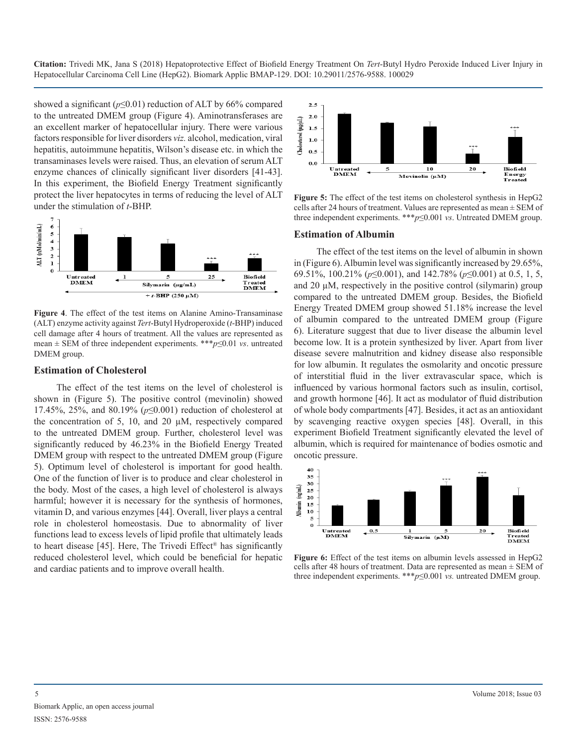showed a significant ( $p \le 0.01$ ) reduction of ALT by 66% compared to the untreated DMEM group (Figure 4). Aminotransferases are an excellent marker of hepatocellular injury. There were various factors responsible for liver disorders *viz.* alcohol, medication, viral hepatitis, autoimmune hepatitis, Wilson's disease etc. in which the transaminases levels were raised. Thus, an elevation of serum ALT enzyme chances of clinically significant liver disorders [41-43]. In this experiment, the Biofield Energy Treatment significantly protect the liver hepatocytes in terms of reducing the level of ALT under the stimulation of *t*-BHP.



**Figure 4**. The effect of the test items on Alanine Amino-Transaminase (ALT) enzyme activity against *Tert*-Butyl Hydroperoxide (*t*-BHP) induced cell damage after 4 hours of treatment. All the values are represented as mean ± SEM of three independent experiments. \*\*\**p*≤0.01 *vs*. untreated DMEM group.

#### **Estimation of Cholesterol**

The effect of the test items on the level of cholesterol is shown in (Figure 5). The positive control (mevinolin) showed 17.45%, 25%, and 80.19% (*p*≤0.001) reduction of cholesterol at the concentration of 5, 10, and 20 µM, respectively compared to the untreated DMEM group. Further, cholesterol level was significantly reduced by 46.23% in the Biofield Energy Treated DMEM group with respect to the untreated DMEM group (Figure 5). Optimum level of cholesterol is important for good health. One of the function of liver is to produce and clear cholesterol in the body. Most of the cases, a high level of cholesterol is always harmful; however it is necessary for the synthesis of hormones, vitamin D, and various enzymes [44]. Overall, liver plays a central role in cholesterol homeostasis. Due to abnormality of liver functions lead to excess levels of lipid profile that ultimately leads to heart disease [45]. Here, The Trivedi Effect® has significantly reduced cholesterol level, which could be beneficial for hepatic and cardiac patients and to improve overall health.



**Figure 5:** The effect of the test items on cholesterol synthesis in HepG2 cells after 24 hours of treatment. Values are represented as mean ± SEM of three independent experiments. \*\*\**p*≤0.001 *vs*. Untreated DMEM group.

#### **Estimation of Albumin**

The effect of the test items on the level of albumin in shown in (Figure 6). Albumin level was significantly increased by 29.65%, 69.51%, 100.21% (*p*≤0.001), and 142.78% (*p*≤0.001) at 0.5, 1, 5, and  $20 \mu$ M, respectively in the positive control (silymarin) group compared to the untreated DMEM group. Besides, the Biofield Energy Treated DMEM group showed 51.18% increase the level of albumin compared to the untreated DMEM group (Figure 6). Literature suggest that due to liver disease the albumin level become low. It is a protein synthesized by liver. Apart from liver disease severe malnutrition and kidney disease also responsible for low albumin. It regulates the osmolarity and oncotic pressure of interstitial fluid in the liver extravascular space, which is influenced by various hormonal factors such as insulin, cortisol, and growth hormone [46]. It act as modulator of fluid distribution of whole body compartments [47]. Besides, it act as an antioxidant by scavenging reactive oxygen species [48]. Overall, in this experiment Biofield Treatment significantly elevated the level of albumin, which is required for maintenance of bodies osmotic and oncotic pressure.



**Figure 6:** Effect of the test items on albumin levels assessed in HepG2 cells after 48 hours of treatment. Data are represented as mean  $\pm$  SEM of three independent experiments. \*\*\**p*≤0.001 *vs.* untreated DMEM group.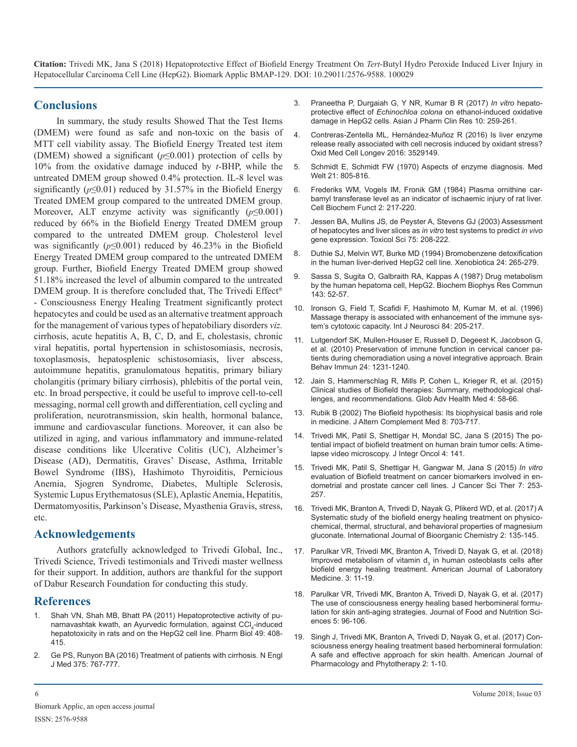#### **Conclusions**

In summary, the study results Showed That the Test Items (DMEM) were found as safe and non-toxic on the basis of MTT cell viability assay. The Biofield Energy Treated test item (DMEM) showed a significant (*p*≤0.001) protection of cells by 10% from the oxidative damage induced by *t*-BHP, while the untreated DMEM group showed 0.4% protection. IL-8 level was significantly ( $p \le 0.01$ ) reduced by 31.57% in the Biofield Energy Treated DMEM group compared to the untreated DMEM group. Moreover, ALT enzyme activity was significantly  $(p \le 0.001)$ reduced by 66% in the Biofield Energy Treated DMEM group compared to the untreated DMEM group. Cholesterol level was significantly  $(p \le 0.001)$  reduced by 46.23% in the Biofield Energy Treated DMEM group compared to the untreated DMEM group. Further, Biofield Energy Treated DMEM group showed 51.18% increased the level of albumin compared to the untreated DMEM group. It is therefore concluded that, The Trivedi Effect<sup>®</sup> - Consciousness Energy Healing Treatment significantly protect hepatocytes and could be used as an alternative treatment approach for the management of various types of hepatobiliary disorders *viz.* cirrhosis, acute hepatitis A, B, C, D, and E, cholestasis, chronic viral hepatitis, portal hypertension in schistosomiasis, necrosis, toxoplasmosis, hepatosplenic schistosomiasis, liver abscess, autoimmune hepatitis, granulomatous hepatitis, primary biliary cholangitis (primary biliary cirrhosis), phlebitis of the portal vein, etc. In broad perspective, it could be useful to improve cell-to-cell messaging, normal cell growth and differentiation, cell cycling and proliferation, neurotransmission, skin health, hormonal balance, immune and cardiovascular functions. Moreover, it can also be utilized in aging, and various inflammatory and immune-related disease conditions like Ulcerative Colitis (UC), Alzheimer's Disease (AD), Dermatitis, Graves' Disease, Asthma, Irritable Bowel Syndrome (IBS), Hashimoto Thyroiditis, Pernicious Anemia, Sjogren Syndrome, Diabetes, Multiple Sclerosis, Systemic Lupus Erythematosus (SLE), Aplastic Anemia, Hepatitis, Dermatomyositis, Parkinson's Disease, Myasthenia Gravis, stress, etc.

#### **Acknowledgements**

Authors gratefully acknowledged to Trivedi Global, Inc., Trivedi Science, Trivedi testimonials and Trivedi master wellness for their support. In addition, authors are thankful for the support of Dabur Research Foundation for conducting this study.

#### **References**

- [Shah VN, Shah MB, Bhatt PA \(2011\) Hepatoprotective activity of pu](https://www.ncbi.nlm.nih.gov/pubmed/21391842)narnavashtak kwath, an Ayurvedic formulation, against CCl<sub>4</sub>-induced [hepatotoxicity in rats and on the HepG2 cell line. Pharm Biol 49: 408-](https://www.ncbi.nlm.nih.gov/pubmed/21391842) [415.](https://www.ncbi.nlm.nih.gov/pubmed/21391842)
- 2. [Ge PS, Runyon BA \(2016\) Treatment of patients with cirrhosis. N Engl](https://www.nejm.org/doi/full/10.1056/NEJMra1504367) J Med 375: 767-777.
- 3. [Praneetha P, Durgaiah G, Y NR, Kumar B R \(2017\)](https://innovareacademics.in/journals/index.php/ajpcr/article/view/19322) *In vitro* hepatoprotective effect of *Echinochloa colona* [on ethanol-induced oxidative](https://innovareacademics.in/journals/index.php/ajpcr/article/view/19322)  [damage in HepG2 cells. Asian J Pharm Clin Res 10: 259-261.](https://innovareacademics.in/journals/index.php/ajpcr/article/view/19322)
- 4. [Contreras-Zentella ML, Hernández-Muñoz R \(2016\) Is liver enzyme](https://www.ncbi.nlm.nih.gov/pubmed/26798419)  release really associated with cell necrosis induced by oxidant stress? [Oxid Med Cell Longev 2016: 3529149.](https://www.ncbi.nlm.nih.gov/pubmed/26798419)
- 5. [Schmidt E, Schmidt FW \(1970\) Aspects of enzyme diagnosis. Med](https://www.ncbi.nlm.nih.gov/pubmed/5525892)  Welt 21: 805-816.
- 6. [Frederiks WM, Vogels IM, Fronik GM \(1984\) Plasma ornithine car](https://www.ncbi.nlm.nih.gov/pubmed/6518622)bamyl transferase level as an indicator of ischaemic injury of rat liver. [Cell Biochem Funct 2: 217-220.](https://www.ncbi.nlm.nih.gov/pubmed/6518622)
- 7. [Jessen BA, Mullins JS, de Peyster A, Stevens GJ \(2003\) Assessment](https://www.ncbi.nlm.nih.gov/pubmed/12832660)  of hepatocytes and liver slices as *in vitro* test systems to predict *in vivo* [gene expression. Toxicol Sci 75: 208-222.](https://www.ncbi.nlm.nih.gov/pubmed/12832660)
- 8. [Duthie SJ, Melvin WT, Burke MD \(1994\) Bromobenzene detoxification](https://www.ncbi.nlm.nih.gov/pubmed/8009889)  in the human liver-derived HepG2 cell line. Xenobiotica 24: 265-279.
- 9. [Sassa S, Sugita O, Galbraith RA, Kappas A \(1987\) Drug metabolism](https://www.ncbi.nlm.nih.gov/pubmed/3030322) by the human hepatoma cell, HepG2. Biochem Biophys Res Commun [143: 52-57.](https://www.ncbi.nlm.nih.gov/pubmed/3030322)
- 10. [Ironson G, Field T, Scafidi F, Hashimoto M, Kumar M, et al. \(1996\)](https://www.ncbi.nlm.nih.gov/pubmed/8707483)  Massage therapy is associated with enhancement of the immune sys[tem's cytotoxic capacity. Int J Neurosci 84: 205-217.](https://www.ncbi.nlm.nih.gov/pubmed/8707483)
- 11. [Lutgendorf SK, Mullen-Houser E, Russell D, Degeest K, Jacobson G,](https://www.ncbi.nlm.nih.gov/pubmed/20600809)  et al. (2010) Preservation of immune function in cervical cancer pa[tients during chemoradiation using a novel integrative approach. Brain](https://www.ncbi.nlm.nih.gov/pubmed/20600809) [Behav Immun 24: 1231-1240.](https://www.ncbi.nlm.nih.gov/pubmed/20600809)
- 12. [Jain S, Hammerschlag R, Mills P, Cohen L, Krieger R, et al. \(2015\)](https://www.ncbi.nlm.nih.gov/pmc/articles/PMC4654788/)  Clinical studies of Biofield therapies: Summary, methodological chal[lenges, and recommendations. Glob Adv Health Med 4: 58-66.](https://www.ncbi.nlm.nih.gov/pmc/articles/PMC4654788/)
- 13. [Rubik B \(2002\) The Biofield hypothesis: Its biophysical basis and role](https://www.ncbi.nlm.nih.gov/pubmed/12614524)  in medicine. J Altern Complement Med 8: 703-717.
- 14. [Trivedi MK, Patil S, Shettigar H, Mondal SC, Jana S \(2015\) The po](https://www.omicsonline.org/open-access/the-potential-impact-of-biofield-treatment-on-human-brain-tumor-cells-a-timelapse-video-microscopy-2329-6771-1000141.php?aid=60515)tential impact of biofield treatment on human brain tumor cells: A time[lapse video microscopy. J Integr Oncol 4: 141](https://www.omicsonline.org/open-access/the-potential-impact-of-biofield-treatment-on-human-brain-tumor-cells-a-timelapse-video-microscopy-2329-6771-1000141.php?aid=60515).
- 15. [Trivedi MK, Patil S, Shettigar H, Gangwar M, Jana S \(2015\)](https://www.omicsonline.org/open-access/in-vitro-evaluation-of-biofield-treatment-on-cancer-biomarkers-involved-in-endometrial-and-prostate-cancer-cell-lines-1948-5956-1000358.php?aid=58658) *In vitro*  [evaluation of Biofield treatment on cancer biomarkers involved in en](https://www.omicsonline.org/open-access/in-vitro-evaluation-of-biofield-treatment-on-cancer-biomarkers-involved-in-endometrial-and-prostate-cancer-cell-lines-1948-5956-1000358.php?aid=58658)[dometrial and prostate cancer cell lines. J Cancer Sci Ther 7: 253-](https://www.omicsonline.org/open-access/in-vitro-evaluation-of-biofield-treatment-on-cancer-biomarkers-involved-in-endometrial-and-prostate-cancer-cell-lines-1948-5956-1000358.php?aid=58658) [257.](https://www.omicsonline.org/open-access/in-vitro-evaluation-of-biofield-treatment-on-cancer-biomarkers-involved-in-endometrial-and-prostate-cancer-cell-lines-1948-5956-1000358.php?aid=58658)
- 16. [Trivedi MK, Branton A, Trivedi D, Nayak G, Plikerd WD, et al. \(2017\) A](https://www.trivedieffect.com/the-science/biotech/publication/healers-science/nutraceuticals/a-systematic-study-of-the-biofield-energy-healing-treatment-on-physicochemical-thermal-structural-and-behavioral-properties-of-magnesium-gluconate/)  Systematic study of the biofield energy healing treatment on physico[chemical, thermal, structural, and behavioral properties of magnesium](https://www.trivedieffect.com/the-science/biotech/publication/healers-science/nutraceuticals/a-systematic-study-of-the-biofield-energy-healing-treatment-on-physicochemical-thermal-structural-and-behavioral-properties-of-magnesium-gluconate/)  [gluconate. International Journal of Bioorganic Chemistry 2: 135-145.](https://www.trivedieffect.com/the-science/biotech/publication/healers-science/nutraceuticals/a-systematic-study-of-the-biofield-energy-healing-treatment-on-physicochemical-thermal-structural-and-behavioral-properties-of-magnesium-gluconate/)
- 17. [Parulkar VR, Trivedi MK, Branton A, Trivedi D, Nayak G, et al. \(2018\)](https://www.trivedieffect.com/the-science/biotech/publication/healers-science/nutraceuticals/improved-metabolism-of-vitamin-d3-in-human-osteoblasts-cells-after-biofield-energy-healing-treatment/)  Improved metabolism of vitamin  $d_3$  in human osteoblasts cells after [biofield energy healing treatment. American Journal of Laboratory](https://www.trivedieffect.com/the-science/biotech/publication/healers-science/nutraceuticals/improved-metabolism-of-vitamin-d3-in-human-osteoblasts-cells-after-biofield-energy-healing-treatment/)  [Medicine. 3: 11-19.](https://www.trivedieffect.com/the-science/biotech/publication/healers-science/nutraceuticals/improved-metabolism-of-vitamin-d3-in-human-osteoblasts-cells-after-biofield-energy-healing-treatment/)
- 18. [Parulkar VR, Trivedi MK, Branton A, Trivedi D, Nayak G, et al. \(2017\)](https://www.trivedieffect.com/the-science/biotech/publication/healers-science/skin-health/the-use-of-novel-consciousness-energy-healing-based-herbomineral-formulation-for-skin-anti-aging-strategies/)  The use of consciousness energy healing based herbomineral formu[lation for skin anti-aging strategies. Journal of Food and Nutrition Sci](https://www.trivedieffect.com/the-science/biotech/publication/healers-science/skin-health/the-use-of-novel-consciousness-energy-healing-based-herbomineral-formulation-for-skin-anti-aging-strategies/)[ences 5: 96-106.](https://www.trivedieffect.com/the-science/biotech/publication/healers-science/skin-health/the-use-of-novel-consciousness-energy-healing-based-herbomineral-formulation-for-skin-anti-aging-strategies/)
- 19. [Singh J, Trivedi MK, Branton A, Trivedi D, Nayak G, et al. \(2017\) Con](https://www.trivedieffect.com/the-science/biotech/publication/healers-science/skin-health/consciousness-energy-healing-treatment-based-herbomineral-formulation-a-safe-and-effective-approach-for-skin-health/)sciousness energy healing treatment based herbomineral formulation: [A safe and effective approach for skin health. American Journal of](https://www.trivedieffect.com/the-science/biotech/publication/healers-science/skin-health/consciousness-energy-healing-treatment-based-herbomineral-formulation-a-safe-and-effective-approach-for-skin-health/)  [Pharmacology and Phytotherapy 2: 1-10.](https://www.nejm.org/doi/full/10.1056/NEJMra1504367)